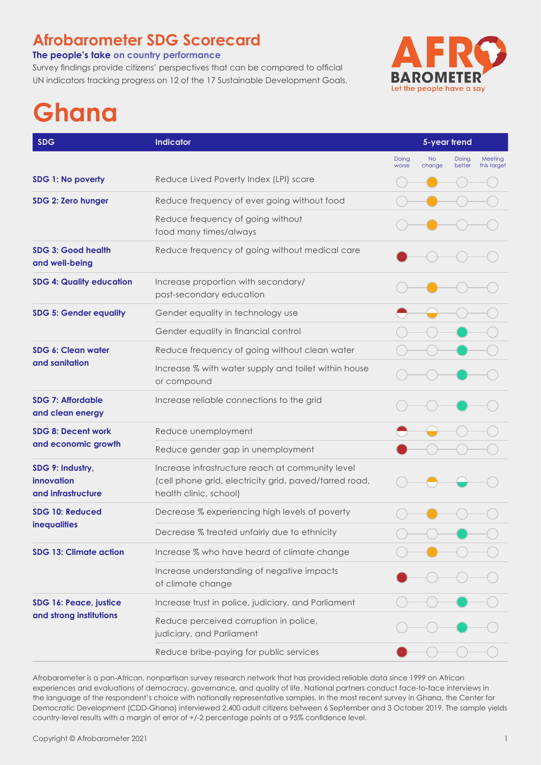## **Afrobarometer SDG Scorecard**

### **The people's take on country performance**

Survey findings provide citizens' perspectives that can be compared to official UN indicators tracking progress on 12 of the 17 Sustainable Development Goals.



# **Ghana**

| <b>SDG</b>                                               | <b>Indicator</b>                                                                                                                     |                | 5-year trend        |                 |                        |  |
|----------------------------------------------------------|--------------------------------------------------------------------------------------------------------------------------------------|----------------|---------------------|-----------------|------------------------|--|
|                                                          |                                                                                                                                      | Doing<br>worse | <b>No</b><br>change | Doing<br>better | Meeting<br>this target |  |
| SDG 1: No poverty                                        | Reduce Lived Poverty Index (LPI) score                                                                                               |                |                     |                 |                        |  |
| SDG 2: Zero hunger                                       | Reduce frequency of ever going without food                                                                                          |                |                     |                 |                        |  |
|                                                          | Reduce frequency of going without<br>food many times/always                                                                          |                |                     |                 |                        |  |
| <b>SDG 3: Good health</b><br>and well-being              | Reduce frequency of going without medical care                                                                                       |                |                     |                 |                        |  |
| <b>SDG 4: Quality education</b>                          | Increase proportion with secondary/<br>post-secondary education                                                                      |                |                     |                 |                        |  |
| <b>SDG 5: Gender equality</b>                            | Gender equality in technology use                                                                                                    |                |                     |                 |                        |  |
|                                                          | Gender equality in financial control                                                                                                 |                |                     |                 |                        |  |
| SDG 6: Clean water<br>and sanitation                     | Reduce frequency of going without clean water                                                                                        |                |                     |                 |                        |  |
|                                                          | Increase % with water supply and toilet within house<br>or compound                                                                  |                |                     |                 |                        |  |
| <b>SDG 7: Affordable</b><br>and clean energy             | Increase reliable connections to the grid                                                                                            |                |                     |                 |                        |  |
| <b>SDG 8: Decent work</b><br>and economic growth         | Reduce unemployment                                                                                                                  |                |                     |                 |                        |  |
|                                                          | Reduce gender gap in unemployment                                                                                                    |                |                     |                 |                        |  |
| SDG 9: Industry,<br>innovation<br>and infrastructure     | Increase infrastructure reach at community level<br>(cell phone grid, electricity grid, paved/tarred road,<br>health clinic, school) |                |                     |                 |                        |  |
| SDG 10: Reduced<br><b>inequalities</b>                   | Decrease % experiencing high levels of poverty                                                                                       |                |                     |                 |                        |  |
|                                                          | Decrease % treated unfairly due to ethnicity                                                                                         |                |                     |                 |                        |  |
| <b>SDG 13: Climate action</b>                            | Increase % who have heard of climate change                                                                                          |                |                     |                 |                        |  |
|                                                          | Increase understanding of negative impacts<br>of climate change                                                                      |                |                     |                 |                        |  |
| <b>SDG 16: Peace, justice</b><br>and strong institutions | Increase trust in police, judiciary, and Parliament                                                                                  |                |                     |                 |                        |  |
|                                                          | Reduce perceived corruption in police,<br>judiciary, and Parliament                                                                  |                |                     |                 |                        |  |
|                                                          | Reduce bribe-paying for public services                                                                                              |                |                     |                 |                        |  |

Afrobarometer is a pan-African, nonpartisan survey research network that has provided reliable data since 1999 on African experiences and evaluations of democracy, governance, and quality of life. National partners conduct face-to-face interviews in the language of the respondent's choice with nationally representative samples. In the most recent survey in Ghana, the Center for Democratic Development (CDD-Ghana) interviewed 2,400 adult citizens between 6 September and 3 October 2019. The sample yields country-level results with a margin of error of +/-2 percentage points at a 95% confidence level.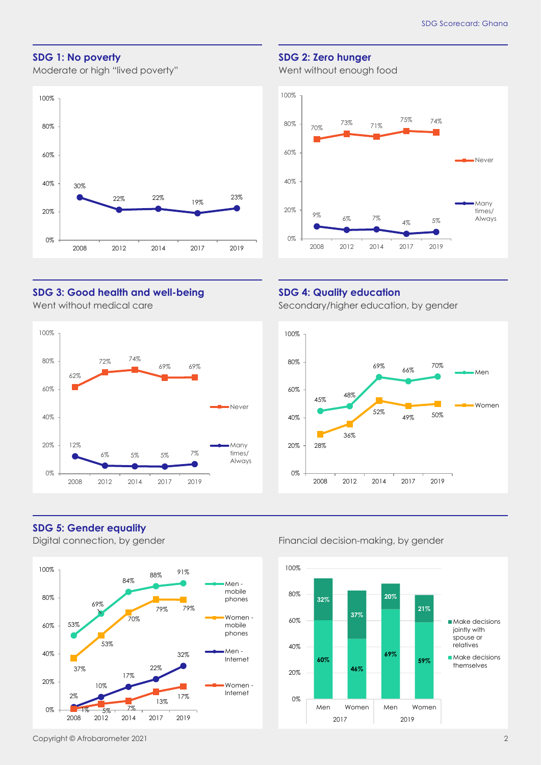#### **SDG 1: No poverty**

Moderate or high "lived poverty"



#### **SDG 2: Zero hunger**

Went without enough food



#### **SDG 3: Good health and well-being**

Went without medical care



#### **SDG 5: Gender equality**



#### **SDG 4: Quality education**

Secondary/higher education, by gender



Digital connection, by gender Financial decision-making, by gender

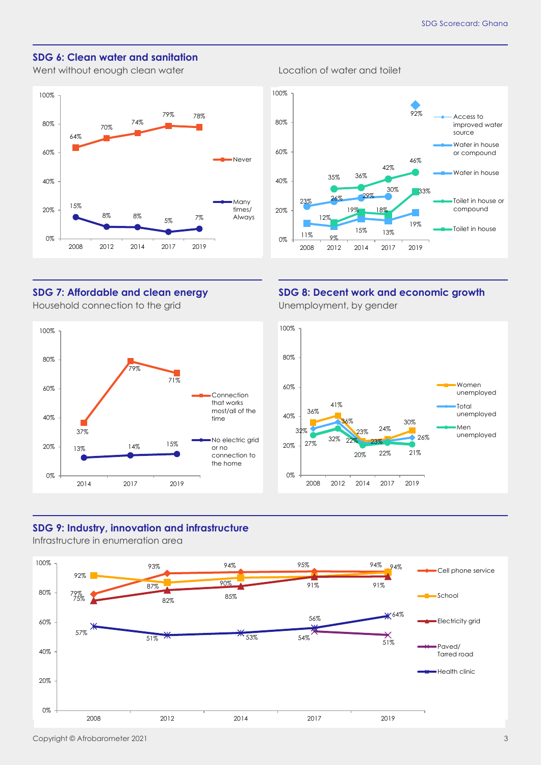#### **SDG 6: Clean water and sanitation**

Went without enough clean water **Location** cleater and toilet





#### **SDG 7: Affordable and clean energy** Household connection to the grid



#### **SDG 8: Decent work and economic growth** Unemployment, by gender



#### **SDG 9: Industry, innovation and infrastructure**

Infrastructure in enumeration area



Copyright © Afrobarometer 2021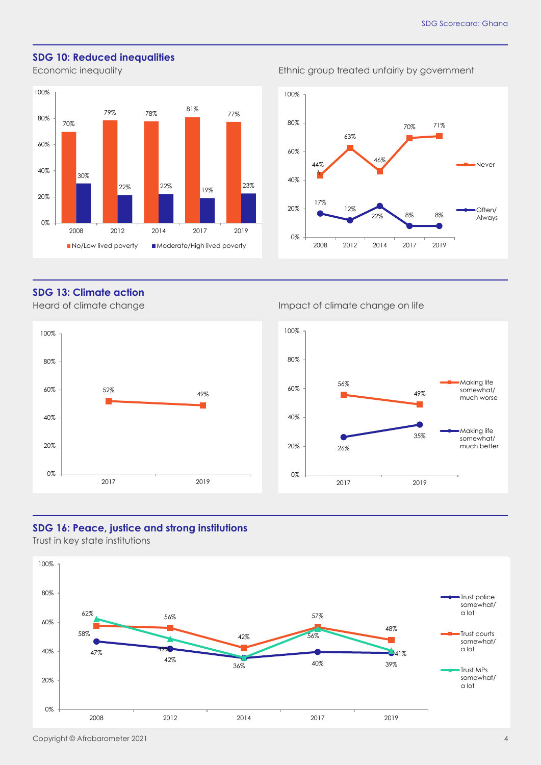#### **SDG 10: Reduced inequalities**

Economic inequality **Example 2018** Ethnic group treated unfairly by government



44% 63% 46% 70% 71% 17% 12% 22% 8% 8% 0% 20% 40% 60% 80% 2008 2012 2014 2017 2019 **Never** Often/ Always

#### **SDG 13: Climate action**



#### Heard of climate change Impact of climate change on life

100%



#### **SDG 16: Peace, justice and strong institutions**

Trust in key state institutions



Copyright © Afrobarometer 2021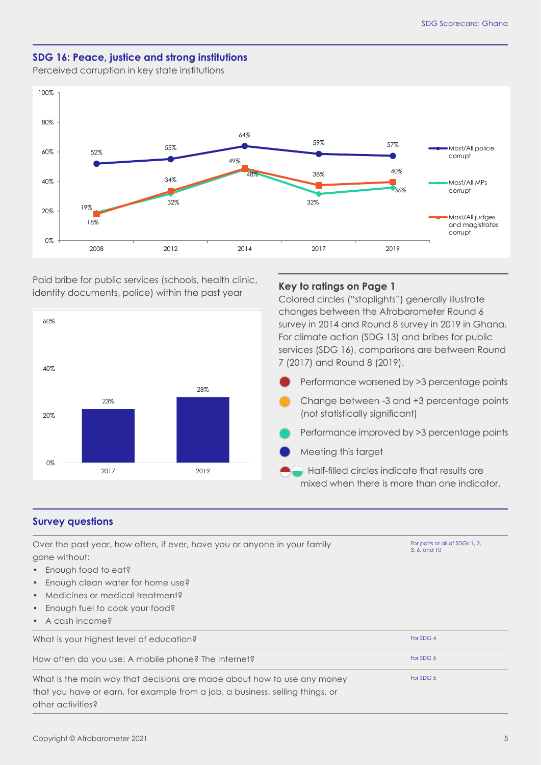#### **SDG 16: Peace, justice and strong institutions**

Perceived corruption in key state institutions



Paid bribe for public services (schools, health clinic, identity documents, police) within the past year

2017 2019



28%

#### **Key to ratings on Page 1**

Colored circles ("stoplights") generally illustrate changes between the Afrobarometer Round 6 survey in 2014 and Round 8 survey in 2019 in Ghana. For climate action (SDG 13) and bribes for public services (SDG 16), comparisons are between Round 7 (2017) and Round 8 (2019).

Performance worsened by >3 percentage points Change between -3 and +3 percentage points (not statistically significant)

Performance improved by >3 percentage points

Meeting this target

Half-filled circles indicate that results are mixed when there is more than one indicator.

#### **Survey questions**

0%

20%

40%

60%

23%

| Over the past year, how often, if ever, have you or anyone in your family<br>gone without:                                                                            | For parts or all of SDGs 1, 2,<br>3, 6, and 10 |  |  |
|-----------------------------------------------------------------------------------------------------------------------------------------------------------------------|------------------------------------------------|--|--|
| • Enough food to eat?<br>Enough clean water for home use?<br>$\bullet$<br>Medicines or medical treatment?<br>$\bullet$<br>Enough fuel to cook your food?<br>$\bullet$ |                                                |  |  |
| $\bullet$ A cash income?<br>What is your highest level of education?                                                                                                  | For SDG 4                                      |  |  |
| How often do you use: A mobile phone? The Internet?<br>What is the main way that decisions are made about how to use any money                                        | For SDG 5<br>For SDG 5                         |  |  |
| that you have or earn, for example from a job, a business, selling things, or<br>other activities?                                                                    |                                                |  |  |